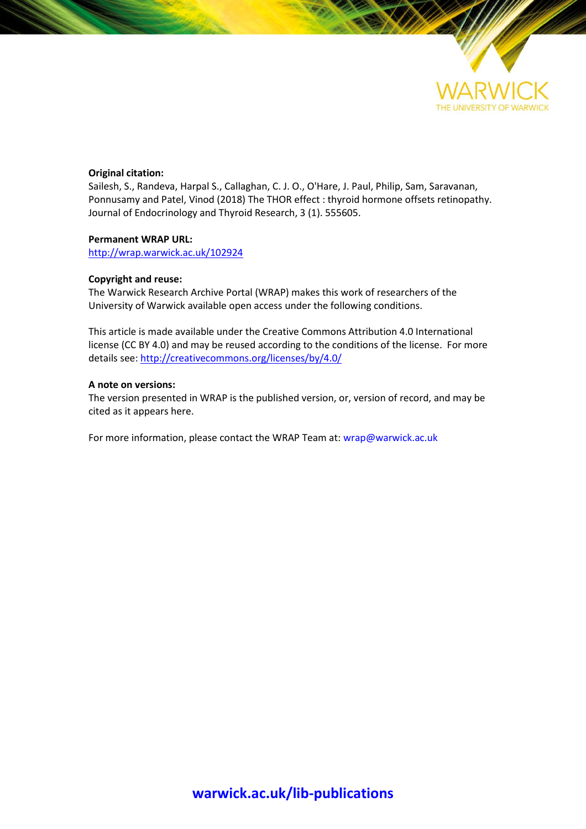

## **Original citation:**

Sailesh, S., Randeva, Harpal S., Callaghan, C. J. O., O'Hare, J. Paul, Philip, Sam, Saravanan, Ponnusamy and Patel, Vinod (2018) The THOR effect : thyroid hormone offsets retinopathy. Journal of Endocrinology and Thyroid Research, 3 (1). 555605.

## **Permanent WRAP URL:**

<http://wrap.warwick.ac.uk/102924>

## **Copyright and reuse:**

The Warwick Research Archive Portal (WRAP) makes this work of researchers of the University of Warwick available open access under the following conditions.

This article is made available under the Creative Commons Attribution 4.0 International license (CC BY 4.0) and may be reused according to the conditions of the license. For more details see[: http://creativecommons.org/licenses/by/4.0/](http://creativecommons.org/licenses/by/4.0/) 

## **A note on versions:**

The version presented in WRAP is the published version, or, version of record, and may be cited as it appears here.

For more information, please contact the WRAP Team at[: wrap@warwick.ac.uk](mailto:wrap@warwick.ac.uk)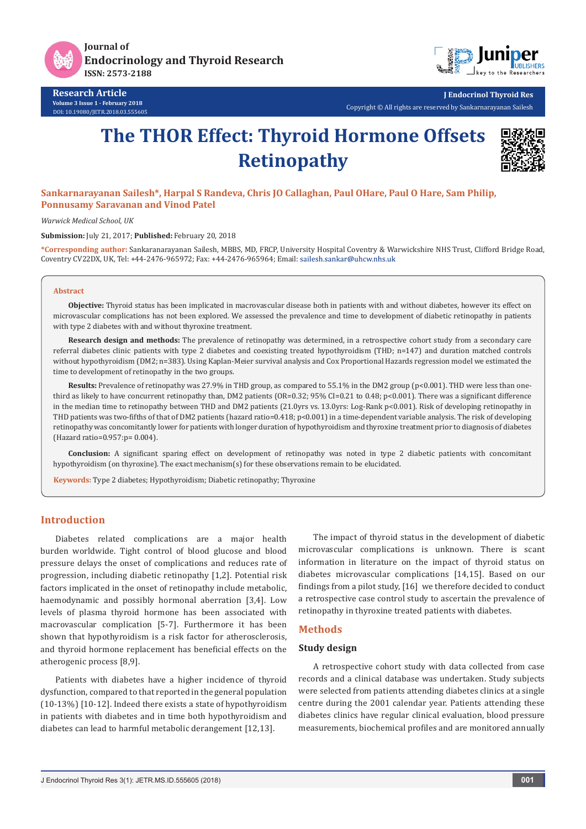

**Journal of Endocrinology and Thyroid Research ISSN: 2573-2188**



**Research Article Volume 3 Issue 1 - February 2018** DOI: [10.19080/JETR.2018.03.555605](http://dx.doi.org/10.19080/JETR.2018.03.555605) **J Endocrinol Thyroid Res**

Copyright © All rights are reserved by Sankarnarayanan Sailesh

# **The THOR Effect: Thyroid Hormone Offsets Retinopathy**



## **Sankarnarayanan Sailesh\*, Harpal S Randeva, Chris JO Callaghan, Paul OHare, Paul O Hare, Sam Philip, Ponnusamy Saravanan and Vinod Patel**

*Warwick Medical School, UK*

**Submission:** July 21, 2017; **Published:** February 20, 2018

**\*Corresponding author:** Sankaranarayanan Sailesh, MBBS, MD, FRCP, University Hospital Coventry & Warwickshire NHS Trust, Clifford Bridge Road, Coventry CV22DX, UK, Tel: +44-2476-965972; Fax: +44-2476-965964; Email:

#### **Abstract**

**Objective:** Thyroid status has been implicated in macrovascular disease both in patients with and without diabetes, however its effect on microvascular complications has not been explored. We assessed the prevalence and time to development of diabetic retinopathy in patients with type 2 diabetes with and without thyroxine treatment.

**Research design and methods:** The prevalence of retinopathy was determined, in a retrospective cohort study from a secondary care referral diabetes clinic patients with type 2 diabetes and coexisting treated hypothyroidism (THD; n=147) and duration matched controls without hypothyroidism (DM2; n=383). Using Kaplan-Meier survival analysis and Cox Proportional Hazards regression model we estimated the time to development of retinopathy in the two groups.

**Results:** Prevalence of retinopathy was 27.9% in THD group, as compared to 55.1% in the DM2 group (p<0.001). THD were less than onethird as likely to have concurrent retinopathy than, DM2 patients (OR=0.32; 95% CI=0.21 to 0.48;  $p$ <0.001). There was a significant difference in the median time to retinopathy between THD and DM2 patients (21.0yrs vs. 13.0yrs: Log-Rank p<0.001). Risk of developing retinopathy in THD patients was two-fifths of that of DM2 patients (hazard ratio=0.418; p<0.001) in a time-dependent variable analysis. The risk of developing retinopathy was concomitantly lower for patients with longer duration of hypothyroidism and thyroxine treatment prior to diagnosis of diabetes (Hazard ratio=0.957:p= 0.004).

**Conclusion:** A significant sparing effect on development of retinopathy was noted in type 2 diabetic patients with concomitant hypothyroidism (on thyroxine). The exact mechanism(s) for these observations remain to be elucidated.

**Keywords:** Type 2 diabetes; Hypothyroidism; Diabetic retinopathy; Thyroxine

## **Introduction**

Diabetes related complications are a major health burden worldwide. Tight control of blood glucose and blood pressure delays the onset of complications and reduces rate of progression, including diabetic retinopathy [1,2]. Potential risk factors implicated in the onset of retinopathy include metabolic, haemodynamic and possibly hormonal aberration [3,4]. Low levels of plasma thyroid hormone has been associated with macrovascular complication [5-7]. Furthermore it has been shown that hypothyroidism is a risk factor for atherosclerosis, and thyroid hormone replacement has beneficial effects on the atherogenic process [8,9].

Patients with diabetes have a higher incidence of thyroid dysfunction, compared to that reported in the general population (10-13%) [10-12]. Indeed there exists a state of hypothyroidism in patients with diabetes and in time both hypothyroidism and diabetes can lead to harmful metabolic derangement [12,13].

The impact of thyroid status in the development of diabetic microvascular complications is unknown. There is scant information in literature on the impact of thyroid status on diabetes microvascular complications [14,15]. Based on our findings from a pilot study, [16] we therefore decided to conduct a retrospective case control study to ascertain the prevalence of retinopathy in thyroxine treated patients with diabetes.

#### **Methods**

#### **Study design**

A retrospective cohort study with data collected from case records and a clinical database was undertaken. Study subjects were selected from patients attending diabetes clinics at a single centre during the 2001 calendar year. Patients attending these diabetes clinics have regular clinical evaluation, blood pressure measurements, biochemical profiles and are monitored annually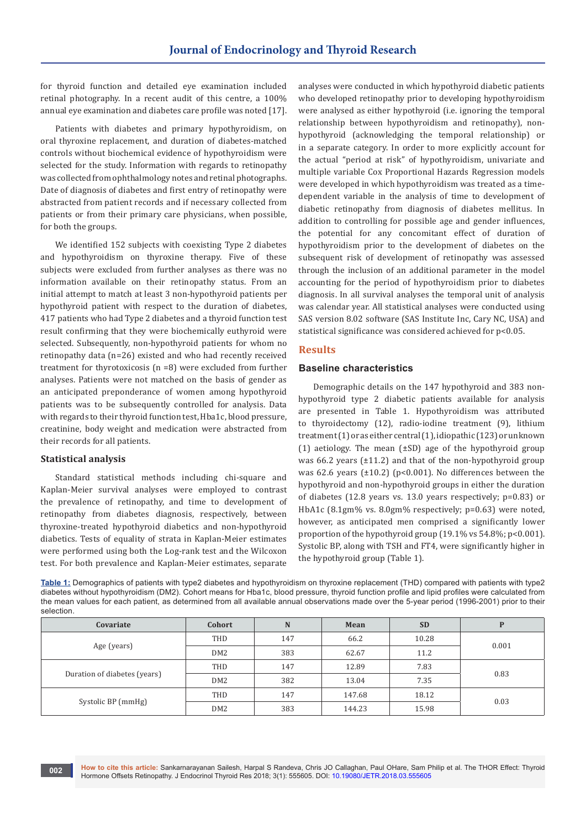for thyroid function and detailed eye examination included retinal photography. In a recent audit of this centre, a 100% annual eye examination and diabetes care profile was noted [17].

Patients with diabetes and primary hypothyroidism, on oral thyroxine replacement, and duration of diabetes-matched controls without biochemical evidence of hypothyroidism were selected for the study. Information with regards to retinopathy was collected from ophthalmology notes and retinal photographs. Date of diagnosis of diabetes and first entry of retinopathy were abstracted from patient records and if necessary collected from patients or from their primary care physicians, when possible, for both the groups.

We identified 152 subjects with coexisting Type 2 diabetes and hypothyroidism on thyroxine therapy. Five of these subjects were excluded from further analyses as there was no information available on their retinopathy status. From an initial attempt to match at least 3 non-hypothyroid patients per hypothyroid patient with respect to the duration of diabetes, 417 patients who had Type 2 diabetes and a thyroid function test result confirming that they were biochemically euthyroid were selected. Subsequently, non-hypothyroid patients for whom no retinopathy data (n=26) existed and who had recently received treatment for thyrotoxicosis (n =8) were excluded from further analyses. Patients were not matched on the basis of gender as an anticipated preponderance of women among hypothyroid patients was to be subsequently controlled for analysis. Data with regards to their thyroid function test, Hba1c, blood pressure, creatinine, body weight and medication were abstracted from their records for all patients.

## **Statistical analysis**

**002**

Standard statistical methods including chi-square and Kaplan-Meier survival analyses were employed to contrast the prevalence of retinopathy, and time to development of retinopathy from diabetes diagnosis, respectively, between thyroxine-treated hypothyroid diabetics and non-hypothyroid diabetics. Tests of equality of strata in Kaplan-Meier estimates were performed using both the Log-rank test and the Wilcoxon test. For both prevalence and Kaplan-Meier estimates, separate

analyses were conducted in which hypothyroid diabetic patients who developed retinopathy prior to developing hypothyroidism were analysed as either hypothyroid (i.e. ignoring the temporal relationship between hypothyroidism and retinopathy), nonhypothyroid (acknowledging the temporal relationship) or in a separate category. In order to more explicitly account for the actual "period at risk" of hypothyroidism, univariate and multiple variable Cox Proportional Hazards Regression models were developed in which hypothyroidism was treated as a timedependent variable in the analysis of time to development of diabetic retinopathy from diagnosis of diabetes mellitus. In addition to controlling for possible age and gender influences, the potential for any concomitant effect of duration of hypothyroidism prior to the development of diabetes on the subsequent risk of development of retinopathy was assessed through the inclusion of an additional parameter in the model accounting for the period of hypothyroidism prior to diabetes diagnosis. In all survival analyses the temporal unit of analysis was calendar year. All statistical analyses were conducted using SAS version 8.02 software (SAS Institute Inc, Cary NC, USA) and statistical significance was considered achieved for p<0.05.

## **Results**

#### **Baseline characteristics**

Demographic details on the 147 hypothyroid and 383 nonhypothyroid type 2 diabetic patients available for analysis are presented in Table 1. Hypothyroidism was attributed to thyroidectomy (12), radio-iodine treatment (9), lithium treatment (1) or as either central (1), idiopathic (123) or unknown (1) aetiology. The mean  $(\pm SD)$  age of the hypothyroid group was 66.2 years  $(\pm 11.2)$  and that of the non-hypothyroid group was 62.6 years  $(\pm 10.2)$  (p<0.001). No differences between the hypothyroid and non-hypothyroid groups in either the duration of diabetes (12.8 years vs. 13.0 years respectively; p=0.83) or HbA1c (8.1gm% vs. 8.0gm% respectively; p=0.63) were noted, however, as anticipated men comprised a significantly lower proportion of the hypothyroid group  $(19.1\% \text{ vs } 54.8\%; \text{ p} < 0.001).$ Systolic BP, along with TSH and FT4, were significantly higher in the hypothyroid group (Table 1).

**Table 1:** Demographics of patients with type2 diabetes and hypothyroidism on thyroxine replacement (THD) compared with patients with type2 diabetes without hypothyroidism (DM2). Cohort means for Hba1c, blood pressure, thyroid function profile and lipid profiles were calculated from the mean values for each patient, as determined from all available annual observations made over the 5-year period (1996-2001) prior to their selection.

| Covariate                    | Cohort          | N   | Mean   | <b>SD</b> | P     |  |
|------------------------------|-----------------|-----|--------|-----------|-------|--|
|                              | THD             | 147 | 66.2   | 10.28     | 0.001 |  |
| Age (years)                  | DM <sub>2</sub> | 383 | 62.67  | 11.2      |       |  |
|                              | THD             | 147 | 12.89  | 7.83      | 0.83  |  |
| Duration of diabetes (years) | DM <sub>2</sub> | 382 | 13.04  | 7.35      |       |  |
|                              | THD             | 147 | 147.68 | 18.12     | 0.03  |  |
| Systolic BP (mmHg)           | DM <sub>2</sub> | 383 | 144.23 | 15.98     |       |  |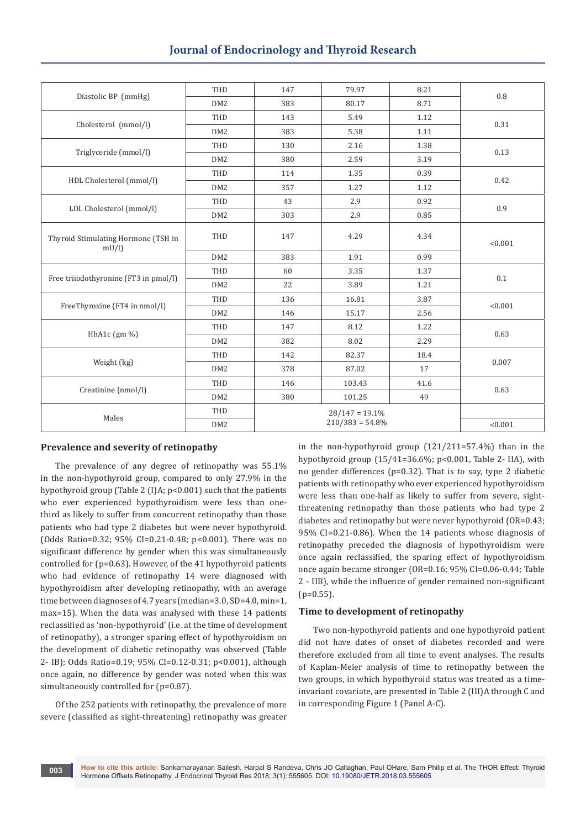# **Journal of Endocrinology and Thyroid Research**

|                                             | THD             | 147                                     | 79.97  | 8.21 | 0.8     |  |
|---------------------------------------------|-----------------|-----------------------------------------|--------|------|---------|--|
| Diastolic BP (mmHg)                         | DM2             | 383                                     | 80.17  | 8.71 |         |  |
|                                             | THD             | 143                                     | 5.49   | 1.12 |         |  |
| Cholesterol (mmol/l)                        | DM <sub>2</sub> | 383                                     | 5.38   | 1.11 | 0.31    |  |
|                                             | THD             | 130                                     | 2.16   | 1.38 |         |  |
| Triglyceride (mmol/l)                       | DM <sub>2</sub> | 380                                     | 2.59   | 3.19 | 0.13    |  |
|                                             | THD             | 114                                     | 1.35   | 0.39 |         |  |
| HDL Cholesterol (mmol/l)                    | DM2             | 357                                     | 1.27   | 1.12 | 0.42    |  |
|                                             | THD             | 43                                      | 2.9    | 0.92 |         |  |
| LDL Cholesterol (mmol/l)                    | DM <sub>2</sub> | 303                                     | 2.9    | 0.85 | 0.9     |  |
| Thyroid Stimulating Hormone (TSH in<br>mU/l | THD             | 147                                     | 4.29   | 4.34 | < 0.001 |  |
|                                             | DM <sub>2</sub> | 383                                     | 1.91   | 0.99 |         |  |
| Free triiodothyronine (FT3 in pmol/l)       | THD             | 60                                      | 3.35   | 1.37 | $0.1\,$ |  |
|                                             | DM <sub>2</sub> | 22                                      | 3.89   | 1.21 |         |  |
| FreeThyroxine (FT4 in nmol/l)               | THD             | 136                                     | 16.81  | 3.87 | < 0.001 |  |
|                                             | DM <sub>2</sub> | 146                                     | 15.17  | 2.56 |         |  |
| HbA1c $(gm\% )$                             | THD             | 147                                     | 8.12   | 1.22 | 0.63    |  |
|                                             | DM <sub>2</sub> | 382                                     | 8.02   | 2.29 |         |  |
|                                             | THD             | 142                                     | 82.37  | 18.4 | 0.007   |  |
| Weight (kg)                                 | DM <sub>2</sub> | 378                                     | 87.02  | 17   |         |  |
| Creatinine (nmol/l)                         | THD             | 146                                     | 103.43 | 41.6 | 0.63    |  |
|                                             | DM <sub>2</sub> | 380                                     | 101.25 | 49   |         |  |
| Males                                       | THD             | $28/147 = 19.1\%$<br>$210/383 = 54.8\%$ |        |      |         |  |
|                                             | DM <sub>2</sub> |                                         |        |      | < 0.001 |  |

## **Prevalence and severity of retinopathy**

The prevalence of any degree of retinopathy was 55.1% in the non-hypothyroid group, compared to only 27.9% in the hypothyroid group (Table 2 (I)A; p<0.001) such that the patients who ever experienced hypothyroidism were less than onethird as likely to suffer from concurrent retinopathy than those patients who had type 2 diabetes but were never hypothyroid. (Odds Ratio=0.32; 95% CI=0.21-0.48; p<0.001). There was no significant difference by gender when this was simultaneously controlled for (p=0.63). However, of the 41 hypothyroid patients who had evidence of retinopathy 14 were diagnosed with hypothyroidism after developing retinopathy, with an average time between diagnoses of 4.7 years (median=3.0, SD=4.0, min=1, max=15). When the data was analysed with these 14 patients reclassified as 'non-hypothyroid' (i.e. at the time of development of retinopathy), a stronger sparing effect of hypothyroidism on the development of diabetic retinopathy was observed (Table 2- IB); Odds Ratio=0.19; 95% CI=0.12-0.31; p<0.001), although once again, no difference by gender was noted when this was simultaneously controlled for (p=0.87).

Of the 252 patients with retinopathy, the prevalence of more severe (classified as sight-threatening) retinopathy was greater

**003**

in the non-hypothyroid group (121/211=57.4%) than in the hypothyroid group (15/41=36.6%; p<0.001, Table 2- IIA), with no gender differences (p=0.32). That is to say, type 2 diabetic patients with retinopathy who ever experienced hypothyroidism were less than one-half as likely to suffer from severe, sightthreatening retinopathy than those patients who had type 2 diabetes and retinopathy but were never hypothyroid (OR=0.43; 95% CI=0.21-0.86). When the 14 patients whose diagnosis of retinopathy preceded the diagnosis of hypothyroidism were once again reclassified, the sparing effect of hypothyroidism once again became stronger (OR=0.16; 95% CI=0.06-0.44; Table 2 - IIB), while the influence of gender remained non-significant  $(p=0.55)$ .

## **Time to development of retinopathy**

Two non-hypothyroid patients and one hypothyroid patient did not have dates of onset of diabetes recorded and were therefore excluded from all time to event analyses. The results of Kaplan-Meier analysis of time to retinopathy between the two groups, in which hypothyroid status was treated as a timeinvariant covariate, are presented in Table 2 (III)A through C and in corresponding Figure 1 (Panel A-C).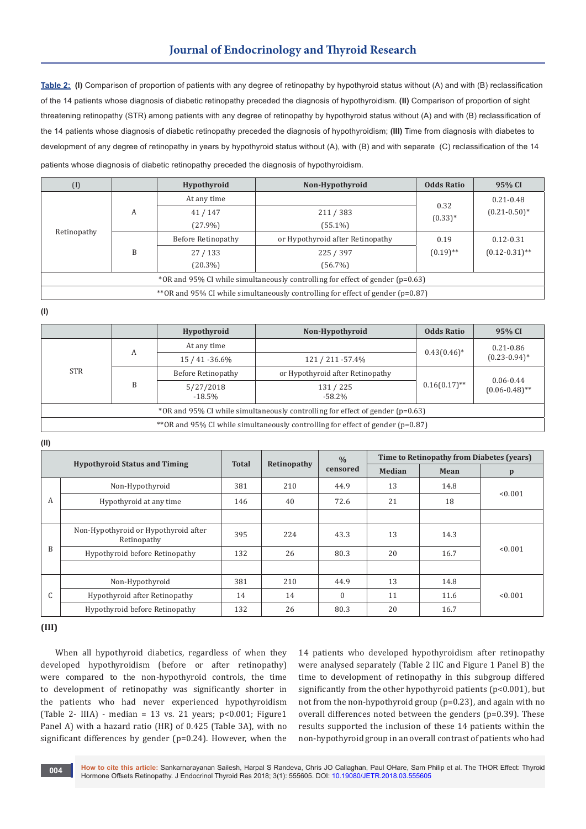**Table 2: (I)** Comparison of proportion of patients with any degree of retinopathy by hypothyroid status without (A) and with (B) reclassification of the 14 patients whose diagnosis of diabetic retinopathy preceded the diagnosis of hypothyroidism. **(II)** Comparison of proportion of sight threatening retinopathy (STR) among patients with any degree of retinopathy by hypothyroid status without (A) and with (B) reclassification of the 14 patients whose diagnosis of diabetic retinopathy preceded the diagnosis of hypothyroidism; **(III)** Time from diagnosis with diabetes to development of any degree of retinopathy in years by hypothyroid status without (A), with (B) and with separate (C) reclassification of the 14 patients whose diagnosis of diabetic retinopathy preceded the diagnosis of hypothyroidism.

| $\left($ I                                                                          |   | Hypothyroid        | Non-Hypothyroid                  | <b>Odds Ratio</b> | 95% CI             |  |
|-------------------------------------------------------------------------------------|---|--------------------|----------------------------------|-------------------|--------------------|--|
| Retinopathy                                                                         | A | At any time        |                                  | 0.32              | $0.21 - 0.48$      |  |
|                                                                                     |   | 41/147             | 211/383                          | $(0.33)*$         | $(0.21 - 0.50)^*$  |  |
|                                                                                     |   | $(27.9\%)$         | $(55.1\%)$                       |                   |                    |  |
|                                                                                     | B | Before Retinopathy | or Hypothyroid after Retinopathy | 0.19              | $0.12 - 0.31$      |  |
|                                                                                     |   | 27/133             | 225 / 397                        | $(0.19)$ **       | $(0.12 - 0.31)$ ** |  |
|                                                                                     |   | $(20.3\%)$         | $(56.7\%)$                       |                   |                    |  |
| *OR and 95% CI while simultaneously controlling for effect of gender $(p=0.63)$     |   |                    |                                  |                   |                    |  |
| ** OR and 95% CI while simultaneously controlling for effect of gender ( $p=0.87$ ) |   |                    |                                  |                   |                    |  |

**(I)**

|                                                                                     |   | <b>Hypothyroid</b>     | Non-Hypothyroid                  | <b>Odds Ratio</b> | 95% CI                              |  |
|-------------------------------------------------------------------------------------|---|------------------------|----------------------------------|-------------------|-------------------------------------|--|
| <b>STR</b>                                                                          | А | At any time            |                                  |                   | $0.21 - 0.86$                       |  |
|                                                                                     |   | 15 / 41 -36.6%         | 121 / 211 - 57.4%                | $0.43(0.46)^*$    | $(0.23 - 0.94)^*$                   |  |
|                                                                                     | B | Before Retinopathy     | or Hypothyroid after Retinopathy |                   |                                     |  |
|                                                                                     |   | 5/27/2018<br>$-18.5\%$ | 131/225<br>$-58.2\%$             | $0.16(0.17)$ **   | $0.06 - 0.44$<br>$(0.06 - 0.48)$ ** |  |
| *OR and 95% CI while simultaneously controlling for effect of gender $(p=0.63)$     |   |                        |                                  |                   |                                     |  |
| ** OR and 95% CI while simultaneously controlling for effect of gender ( $p=0.87$ ) |   |                        |                                  |                   |                                     |  |

**(II)**

| <b>Hypothyroid Status and Timing</b> |                                                     | <b>Total</b> | Retinopathy | $\frac{0}{0}$<br>censored | Time to Retinopathy from Diabetes (years) |      |              |  |
|--------------------------------------|-----------------------------------------------------|--------------|-------------|---------------------------|-------------------------------------------|------|--------------|--|
|                                      |                                                     |              |             |                           | Median                                    | Mean | $\mathbf{p}$ |  |
|                                      | Non-Hypothyroid                                     | 381          | 210         | 44.9                      | 13                                        | 14.8 | < 0.001      |  |
| A                                    | Hypothyroid at any time                             | 146          | 40          | 72.6                      | 21                                        | 18   |              |  |
|                                      |                                                     |              |             |                           |                                           |      |              |  |
| B                                    | Non-Hypothyroid or Hypothyroid after<br>Retinopathy | 395          | 224         | 43.3                      | 13                                        | 14.3 | < 0.001      |  |
|                                      | Hypothyroid before Retinopathy                      | 132          | 26          | 80.3                      | 20                                        | 16.7 |              |  |
|                                      |                                                     |              |             |                           |                                           |      |              |  |
|                                      | Non-Hypothyroid                                     | 381          | 210         | 44.9                      | 13                                        | 14.8 |              |  |
| $\sqrt{ }$<br>τ.                     | Hypothyroid after Retinopathy                       | 14           | 14          | $\Omega$                  | 11                                        | 11.6 | < 0.001      |  |
|                                      | Hypothyroid before Retinopathy                      | 132          | 26          | 80.3                      | 20                                        | 16.7 |              |  |

**(III)**

When all hypothyroid diabetics, regardless of when they developed hypothyroidism (before or after retinopathy) were compared to the non-hypothyroid controls, the time to development of retinopathy was significantly shorter in the patients who had never experienced hypothyroidism (Table 2- IIIA) - median = 13 vs. 21 years; p<0.001; Figure1 Panel A) with a hazard ratio (HR) of 0.425 (Table 3A), with no significant differences by gender (p=0.24). However, when the

14 patients who developed hypothyroidism after retinopathy were analysed separately (Table 2 IIC and Figure 1 Panel B) the time to development of retinopathy in this subgroup differed significantly from the other hypothyroid patients (p<0.001), but not from the non-hypothyroid group (p=0.23), and again with no overall differences noted between the genders (p=0.39). These results supported the inclusion of these 14 patients within the non-hypothyroid group in an overall contrast of patients who had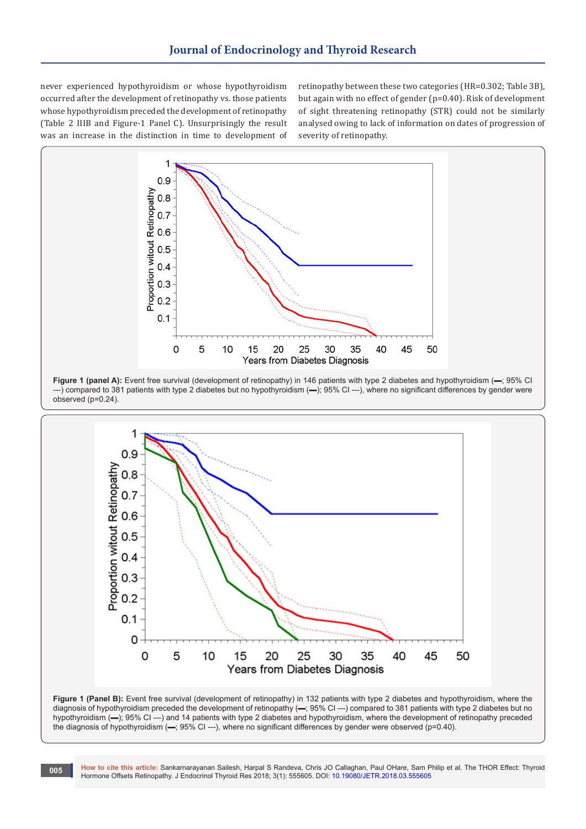never experienced hypothyroidism or whose hypothyroidism occurred after the development of retinopathy vs. those patients whose hypothyroidism preceded the development of retinopathy (Table 2 IIIB and Figure-1 Panel C). Unsurprisingly the result was an increase in the distinction in time to development of retinopathy between these two categories (HR=0.302; Table 3B), but again with no effect of gender (p=0.40). Risk of development of sight threatening retinopathy (STR) could not be similarly analysed owing to lack of information on dates of progression of severity of retinopathy.







**How to cite this article:** Sankarnarayanan Sailesh, Harpal S Randeva, Chris JO Callaghan, Paul OHare, Sam Philip et al. The THOR Effect: Thyroid Hormone Offsets Retinopathy. J Endocrinol Thyroid Res 2018; 3(1): 555605. DOI: [10.19080/JETR.2018.03.555605](http://dx.doi.org/10.19080/JETR.2018.03.555605)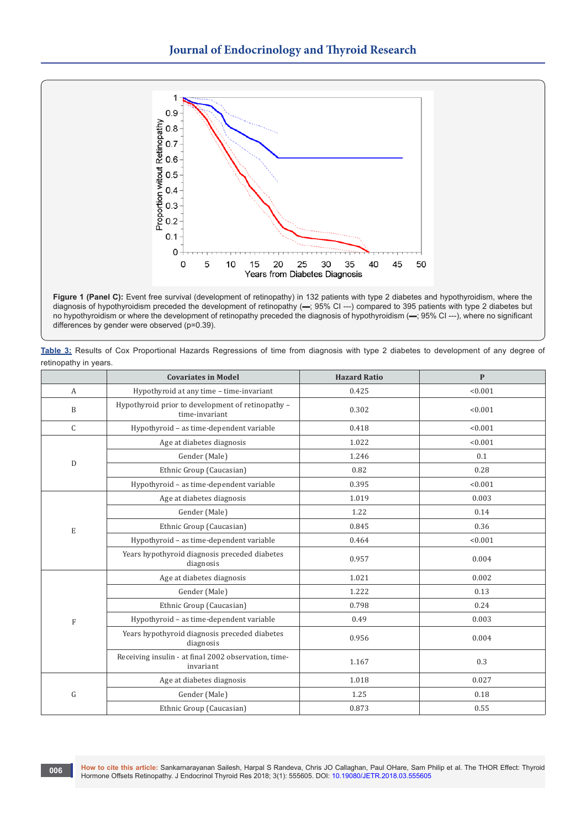

Figure 1 (Panel C): Event free survival (development of retinopathy) in 132 patients with type 2 diabetes and hypothyroidism, where the diagnosis of hypothyroidism preceded the development of retinopathy (▬; 95% CI ---) compared to 395 patients with type 2 diabetes but no hypothyroidism or where the development of retinopathy preceded the diagnosis of hypothyroidism (▬; 95% CI ---), where no significant differences by gender were observed (p=0.39).

**Table 3:** Results of Cox Proportional Hazards Regressions of time from diagnosis with type 2 diabetes to development of any degree of retinopathy in years.

|              | <b>Covariates in Model</b>                                                                                                                                                                                                                                                                                                                                                                                                                                                                                                                 | <b>Hazard Ratio</b> | $\mathbf{P}$ |
|--------------|--------------------------------------------------------------------------------------------------------------------------------------------------------------------------------------------------------------------------------------------------------------------------------------------------------------------------------------------------------------------------------------------------------------------------------------------------------------------------------------------------------------------------------------------|---------------------|--------------|
| $\mathbf{A}$ | Hypothyroid at any time - time-invariant                                                                                                                                                                                                                                                                                                                                                                                                                                                                                                   | 0.425               | < 0.001      |
| B            | Hypothyroid prior to development of retinopathy -<br>time-invariant                                                                                                                                                                                                                                                                                                                                                                                                                                                                        | 0.302               | < 0.001      |
| $\mathsf{C}$ | Hypothyroid - as time-dependent variable                                                                                                                                                                                                                                                                                                                                                                                                                                                                                                   | 0.418               | < 0.001      |
|              | Age at diabetes diagnosis                                                                                                                                                                                                                                                                                                                                                                                                                                                                                                                  | 1.022               | < 0.001      |
|              | Gender (Male)                                                                                                                                                                                                                                                                                                                                                                                                                                                                                                                              | 1.246               | 0.1          |
|              | Ethnic Group (Caucasian)                                                                                                                                                                                                                                                                                                                                                                                                                                                                                                                   | 0.82                | 0.28         |
|              | D<br>Hypothyroid - as time-dependent variable<br>0.395<br>Age at diabetes diagnosis<br>1.019<br>Gender (Male)<br>1.22<br>Ethnic Group (Caucasian)<br>0.845<br>E<br>Hypothyroid - as time-dependent variable<br>0.464<br>Years hypothyroid diagnosis preceded diabetes<br>0.957<br>diagnosis<br>Age at diabetes diagnosis<br>1.021<br>Gender (Male)<br>1.222<br>Ethnic Group (Caucasian)<br>0.798<br>Hypothyroid - as time-dependent variable<br>0.49<br>$\mathbf F$<br>Years hypothyroid diagnosis preceded diabetes<br>0.956<br>diagnosis | < 0.001             |              |
|              |                                                                                                                                                                                                                                                                                                                                                                                                                                                                                                                                            |                     | 0.003        |
|              |                                                                                                                                                                                                                                                                                                                                                                                                                                                                                                                                            |                     | 0.14         |
|              |                                                                                                                                                                                                                                                                                                                                                                                                                                                                                                                                            |                     | 0.36         |
|              |                                                                                                                                                                                                                                                                                                                                                                                                                                                                                                                                            |                     | < 0.001      |
|              |                                                                                                                                                                                                                                                                                                                                                                                                                                                                                                                                            |                     | 0.004        |
|              |                                                                                                                                                                                                                                                                                                                                                                                                                                                                                                                                            |                     | 0.002        |
|              |                                                                                                                                                                                                                                                                                                                                                                                                                                                                                                                                            |                     | 0.13         |
|              |                                                                                                                                                                                                                                                                                                                                                                                                                                                                                                                                            |                     | 0.24         |
|              |                                                                                                                                                                                                                                                                                                                                                                                                                                                                                                                                            |                     | 0.003        |
|              |                                                                                                                                                                                                                                                                                                                                                                                                                                                                                                                                            |                     | 0.004        |
|              | Receiving insulin - at final 2002 observation, time-<br>invariant                                                                                                                                                                                                                                                                                                                                                                                                                                                                          | 1.167               | 0.3          |
|              | Age at diabetes diagnosis                                                                                                                                                                                                                                                                                                                                                                                                                                                                                                                  | 1.018               | 0.027        |
| G            | Gender (Male)                                                                                                                                                                                                                                                                                                                                                                                                                                                                                                                              | 1.25                | 0.18         |
|              | Ethnic Group (Caucasian)                                                                                                                                                                                                                                                                                                                                                                                                                                                                                                                   | 0.873               | 0.55         |

**006**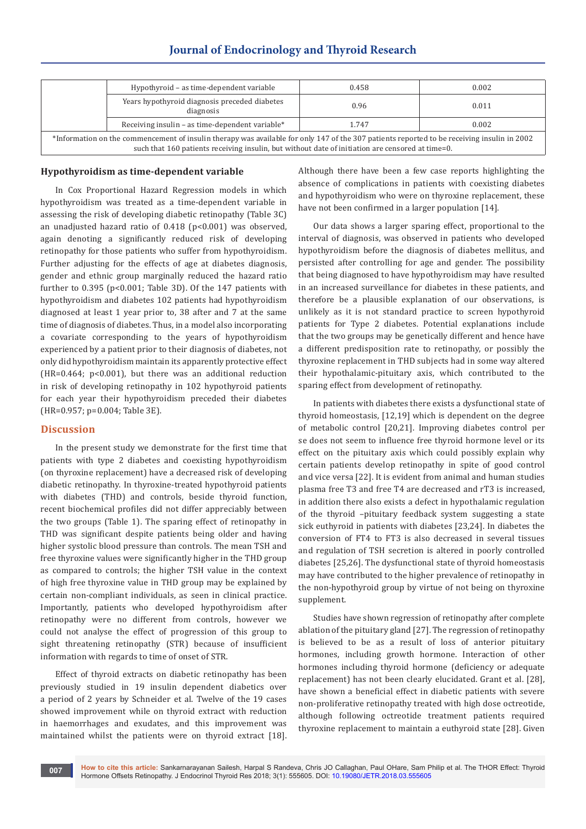| Hypothyroid – as time-dependent variable                                                                                                                                                                                                        |                                                            | 0.458 | 0.002 |  |  |
|-------------------------------------------------------------------------------------------------------------------------------------------------------------------------------------------------------------------------------------------------|------------------------------------------------------------|-------|-------|--|--|
|                                                                                                                                                                                                                                                 | Years hypothyroid diagnosis preceded diabetes<br>diagnosis | 0.96  | 0.011 |  |  |
| Receiving insulin - as time-dependent variable*                                                                                                                                                                                                 |                                                            | 1.747 | 0.002 |  |  |
| *Information on the commencement of insulin therapy was available for only 147 of the 307 patients reported to be receiving insulin in 2002<br>such that 160 patients receiving insulin, but without date of initiation are censored at time=0. |                                                            |       |       |  |  |

# **Journal of Endocrinology and Thyroid Research**

#### **Hypothyroidism as time-dependent variable**

In Cox Proportional Hazard Regression models in which hypothyroidism was treated as a time-dependent variable in assessing the risk of developing diabetic retinopathy (Table 3C) an unadjusted hazard ratio of 0.418 (p<0.001) was observed, again denoting a significantly reduced risk of developing retinopathy for those patients who suffer from hypothyroidism. Further adjusting for the effects of age at diabetes diagnosis, gender and ethnic group marginally reduced the hazard ratio further to 0.395 (p<0.001; Table 3D). Of the 147 patients with hypothyroidism and diabetes 102 patients had hypothyroidism diagnosed at least 1 year prior to, 38 after and 7 at the same time of diagnosis of diabetes. Thus, in a model also incorporating a covariate corresponding to the years of hypothyroidism experienced by a patient prior to their diagnosis of diabetes, not only did hypothyroidism maintain its apparently protective effect (HR=0.464; p<0.001), but there was an additional reduction in risk of developing retinopathy in 102 hypothyroid patients for each year their hypothyroidism preceded their diabetes (HR=0.957; p=0.004; Table 3E).

## **Discussion**

In the present study we demonstrate for the first time that patients with type 2 diabetes and coexisting hypothyroidism (on thyroxine replacement) have a decreased risk of developing diabetic retinopathy. In thyroxine-treated hypothyroid patients with diabetes (THD) and controls, beside thyroid function, recent biochemical profiles did not differ appreciably between the two groups (Table 1). The sparing effect of retinopathy in THD was significant despite patients being older and having higher systolic blood pressure than controls. The mean TSH and free thyroxine values were significantly higher in the THD group as compared to controls; the higher TSH value in the context of high free thyroxine value in THD group may be explained by certain non-compliant individuals, as seen in clinical practice. Importantly, patients who developed hypothyroidism after retinopathy were no different from controls, however we could not analyse the effect of progression of this group to sight threatening retinopathy (STR) because of insufficient information with regards to time of onset of STR.

Effect of thyroid extracts on diabetic retinopathy has been previously studied in 19 insulin dependent diabetics over a period of 2 years by Schneider et al. Twelve of the 19 cases showed improvement while on thyroid extract with reduction in haemorrhages and exudates, and this improvement was maintained whilst the patients were on thyroid extract [18].

Although there have been a few case reports highlighting the absence of complications in patients with coexisting diabetes and hypothyroidism who were on thyroxine replacement, these have not been confirmed in a larger population [14].

Our data shows a larger sparing effect, proportional to the interval of diagnosis, was observed in patients who developed hypothyroidism before the diagnosis of diabetes mellitus, and persisted after controlling for age and gender. The possibility that being diagnosed to have hypothyroidism may have resulted in an increased surveillance for diabetes in these patients, and therefore be a plausible explanation of our observations, is unlikely as it is not standard practice to screen hypothyroid patients for Type 2 diabetes. Potential explanations include that the two groups may be genetically different and hence have a different predisposition rate to retinopathy, or possibly the thyroxine replacement in THD subjects had in some way altered their hypothalamic-pituitary axis, which contributed to the sparing effect from development of retinopathy.

In patients with diabetes there exists a dysfunctional state of thyroid homeostasis, [12,19] which is dependent on the degree of metabolic control [20,21]. Improving diabetes control per se does not seem to influence free thyroid hormone level or its effect on the pituitary axis which could possibly explain why certain patients develop retinopathy in spite of good control and vice versa [22]. It is evident from animal and human studies plasma free T3 and free T4 are decreased and rT3 is increased, in addition there also exists a defect in hypothalamic regulation of the thyroid –pituitary feedback system suggesting a state sick euthyroid in patients with diabetes [23,24]. In diabetes the conversion of FT4 to FT3 is also decreased in several tissues and regulation of TSH secretion is altered in poorly controlled diabetes [25,26]. The dysfunctional state of thyroid homeostasis may have contributed to the higher prevalence of retinopathy in the non-hypothyroid group by virtue of not being on thyroxine supplement.

Studies have shown regression of retinopathy after complete ablation of the pituitary gland [27]. The regression of retinopathy is believed to be as a result of loss of anterior pituitary hormones, including growth hormone. Interaction of other hormones including thyroid hormone (deficiency or adequate replacement) has not been clearly elucidated. Grant et al. [28], have shown a beneficial effect in diabetic patients with severe non-proliferative retinopathy treated with high dose octreotide, although following octreotide treatment patients required thyroxine replacement to maintain a euthyroid state [28]. Given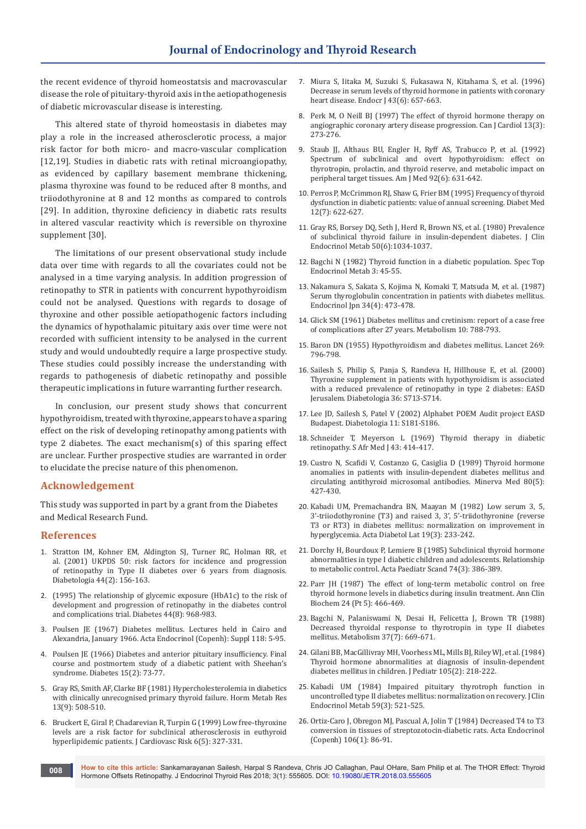the recent evidence of thyroid homeostatsis and macrovascular disease the role of pituitary-thyroid axis in the aetiopathogenesis of diabetic microvascular disease is interesting.

This altered state of thyroid homeostasis in diabetes may play a role in the increased atherosclerotic process, a major risk factor for both micro- and macro-vascular complication [12,19]. Studies in diabetic rats with retinal microangiopathy, as evidenced by capillary basement membrane thickening, plasma thyroxine was found to be reduced after 8 months, and triiodothyronine at 8 and 12 months as compared to controls [29]. In addition, thyroxine deficiency in diabetic rats results in altered vascular reactivity which is reversible on thyroxine supplement [30].

The limitations of our present observational study include data over time with regards to all the covariates could not be analysed in a time varying analysis. In addition progression of retinopathy to STR in patients with concurrent hypothyroidism could not be analysed. Questions with regards to dosage of thyroxine and other possible aetiopathogenic factors including the dynamics of hypothalamic pituitary axis over time were not recorded with sufficient intensity to be analysed in the current study and would undoubtedly require a large prospective study. These studies could possibly increase the understanding with regards to pathogenesis of diabetic retinopathy and possible therapeutic implications in future warranting further research.

In conclusion, our present study shows that concurrent hypothyroidism, treated with thyroxine, appears to have a sparing effect on the risk of developing retinopathy among patients with type 2 diabetes. The exact mechanism(s) of this sparing effect are unclear. Further prospective studies are warranted in order to elucidate the precise nature of this phenomenon.

#### **Acknowledgement**

This study was supported in part by a grant from the Diabetes and Medical Research Fund.

#### **References**

- 1. [Stratton IM, Kohner EM, Aldington SJ, Turner RC, Holman RR, et](https://www.ncbi.nlm.nih.gov/pubmed/11270671)  [al. \(2001\) UKPDS 50: risk factors for incidence and progression](https://www.ncbi.nlm.nih.gov/pubmed/11270671)  [of retinopathy in Type II diabetes over 6 years from diagnosis.](https://www.ncbi.nlm.nih.gov/pubmed/11270671)  [Diabetologia 44\(2\): 156-163.](https://www.ncbi.nlm.nih.gov/pubmed/11270671)
- 2. [\(1995\) The relationship of glycemic exposure \(HbA1c\) to the risk of](https://www.ncbi.nlm.nih.gov/pubmed/7622004)  [development and progression of retinopathy in the diabetes control](https://www.ncbi.nlm.nih.gov/pubmed/7622004)  [and complications trial. Diabetes 44\(8\): 968-983.](https://www.ncbi.nlm.nih.gov/pubmed/7622004)
- 3. [Poulsen JE \(1967\) Diabetes mellitus. Lectures held in Cairo and](https://www.ncbi.nlm.nih.gov/pubmed/5340062)  [Alexandria, January 1966. Acta Endocrinol \(Copenh\): Suppl 118: 5-95.](https://www.ncbi.nlm.nih.gov/pubmed/5340062)
- 4. [Poulsen JE \(1966\) Diabetes and anterior pituitary insufficiency. Final](https://www.ncbi.nlm.nih.gov/pubmed/5948456)  [course and postmortem study of a diabetic patient with Sheehan's](https://www.ncbi.nlm.nih.gov/pubmed/5948456)  [syndrome. Diabetes 15\(2\): 73-77.](https://www.ncbi.nlm.nih.gov/pubmed/5948456)
- 5. [Gray RS, Smith AF, Clarke BF \(1981\) Hypercholesterolemia in diabetics](https://www.ncbi.nlm.nih.gov/pubmed/7298021)  [with clinically unrecognised primary thyroid failure. Horm Metab Res](https://www.ncbi.nlm.nih.gov/pubmed/7298021)  [13\(9\): 508-510.](https://www.ncbi.nlm.nih.gov/pubmed/7298021)
- 6. [Bruckert E, Giral P, Chadarevian R, Turpin G \(1999\) Low free-thyroxine](https://www.ncbi.nlm.nih.gov/pubmed/10534137)  [levels are a risk factor for subclinical atherosclerosis in euthyroid](https://www.ncbi.nlm.nih.gov/pubmed/10534137)  [hyperlipidemic patients. J Cardiovasc Risk 6\(5\): 327-331.](https://www.ncbi.nlm.nih.gov/pubmed/10534137)
- 7. [Miura S, Iitaka M, Suzuki S, Fukasawa N, Kitahama S, et al. \(1996\)](https://www.ncbi.nlm.nih.gov/pubmed/9075605)  [Decrease in serum levels of thyroid hormone in patients with coronary](https://www.ncbi.nlm.nih.gov/pubmed/9075605)  [heart disease. Endocr J 43\(6\): 657-663.](https://www.ncbi.nlm.nih.gov/pubmed/9075605)
- 8. [Perk M, O Neill BJ \(1997\) The effect of thyroid hormone therapy on](https://www.ncbi.nlm.nih.gov/pubmed/9117915)  [angiographic coronary artery disease progression. Can J Cardiol 13\(3\):](https://www.ncbi.nlm.nih.gov/pubmed/9117915)  [273-276.](https://www.ncbi.nlm.nih.gov/pubmed/9117915)
- 9. [Staub JJ, Althaus BU, Engler H, Ryff AS, Trabucco P, et al. \(1992\)](https://www.ncbi.nlm.nih.gov/pubmed/1605145)  [Spectrum of subclinical and overt hypothyroidism: effect on](https://www.ncbi.nlm.nih.gov/pubmed/1605145)  [thyrotropin, prolactin, and thyroid reserve, and metabolic impact on](https://www.ncbi.nlm.nih.gov/pubmed/1605145)  [peripheral target tissues. Am J Med 92\(6\): 631-642.](https://www.ncbi.nlm.nih.gov/pubmed/1605145)
- 10. [Perros P, McCrimmon RJ, Shaw G, Frier BM \(1995\) Frequency of thyroid](https://www.ncbi.nlm.nih.gov/pubmed/7554786)  [dysfunction in diabetic patients: value of annual screening. Diabet Med](https://www.ncbi.nlm.nih.gov/pubmed/7554786)  [12\(7\): 622-627.](https://www.ncbi.nlm.nih.gov/pubmed/7554786)
- 11. [Gray RS, Borsey DQ, Seth J, Herd R, Brown NS, et al. \(1980\) Prevalence](https://www.ncbi.nlm.nih.gov/pubmed/7372784)  [of subclinical thyroid failure in insulin-dependent diabetes. J Clin](https://www.ncbi.nlm.nih.gov/pubmed/7372784)  [Endocrinol Metab 50\(6\):1034-1037.](https://www.ncbi.nlm.nih.gov/pubmed/7372784)
- 12. [Bagchi N \(1982\) Thyroid function in a diabetic population. Spec Top](https://www.ncbi.nlm.nih.gov/pubmed/6302931)  [Endocrinol Metab 3: 45-55.](https://www.ncbi.nlm.nih.gov/pubmed/6302931)
- 13. [Nakamura S, Sakata S, Kojima N, Komaki T, Matsuda M, et al. \(1987\)](https://www.ncbi.nlm.nih.gov/pubmed/3315639)  [Serum thyroglobulin concentration in patients with diabetes mellitus.](https://www.ncbi.nlm.nih.gov/pubmed/3315639)  [Endocrinol Jpn 34\(4\): 473-478.](https://www.ncbi.nlm.nih.gov/pubmed/3315639)
- 14. [Glick SM \(1961\) Diabetes mellitus and cretinism: report of a case free](https://www.ncbi.nlm.nih.gov/pubmed/13899235)  [of complications after 27 years. Metabolism 10: 788-793.](https://www.ncbi.nlm.nih.gov/pubmed/13899235)
- 15. Baron DN (1955) Hypothyroidism and diabetes mellitus. Lancet 269: 796-798.
- 16. Sailesh S, Philip S, Panja S, Randeva H, Hillhouse E, et al. (2000) Thyroxine supplement in patients with hypothyroidism is associated with a reduced prevalence of retinopathy in type 2 diabetes: EASD Jerusalem. Diabetologia 36: S713-S714.
- 17. Lee JD, Sailesh S, Patel V (2002) Alphabet POEM Audit project EASD Budapest. Diabetologia 11: S181-S186.
- 18. Schneider T, Meyerson L (1969) Thyroid therapy in diabetic retinopathy. S Afr Med J 43: 414-417.
- 19. [Custro N, Scafidi V, Costanzo G, Casiglia D \(1989\) Thyroid hormone](https://www.ncbi.nlm.nih.gov/pubmed/2747968)  [anomalies in patients with insulin-dependent diabetes mellitus and](https://www.ncbi.nlm.nih.gov/pubmed/2747968)  [circulating antithyroid microsomal antibodies. Minerva Med 80\(5\):](https://www.ncbi.nlm.nih.gov/pubmed/2747968)  [427-430.](https://www.ncbi.nlm.nih.gov/pubmed/2747968)
- 20. [Kabadi UM, Premachandra BN, Maayan M \(1982\) Low serum 3, 5,](https://www.ncbi.nlm.nih.gov/pubmed/7148329)  [3'-triiodothyronine \(T3\) and raised 3, 3', 5'-triidothyronine \(reverse](https://www.ncbi.nlm.nih.gov/pubmed/7148329)  [T3 or RT3\) in diabetes mellitus: normalization on improvement in](https://www.ncbi.nlm.nih.gov/pubmed/7148329)  [hyperglycemia. Acta Diabetol Lat 19\(3\): 233-242.](https://www.ncbi.nlm.nih.gov/pubmed/7148329)
- 21. [Dorchy H, Bourdoux P, Lemiere B \(1985\) Subclinical thyroid hormone](https://www.ncbi.nlm.nih.gov/pubmed/4003063)  [abnormalities in type I diabetic children and adolescents. Relationship](https://www.ncbi.nlm.nih.gov/pubmed/4003063)  [to metabolic control. Acta Paediatr Scand 74\(3\): 386-389.](https://www.ncbi.nlm.nih.gov/pubmed/4003063)
- 22. [Parr JH \(1987\) The effect of long-term metabolic control on free](https://www.ncbi.nlm.nih.gov/pubmed/3310835)  [thyroid hormone levels in diabetics during insulin treatment. Ann Clin](https://www.ncbi.nlm.nih.gov/pubmed/3310835)  [Biochem 24 \(Pt 5\): 466-469.](https://www.ncbi.nlm.nih.gov/pubmed/3310835)
- 23. [Bagchi N, Palaniswami N, Desai H, Felicetta J, Brown TR \(1988\)](https://www.ncbi.nlm.nih.gov/pubmed/3133539)  [Decreased thyroidal response to thyrotropin in type II diabetes](https://www.ncbi.nlm.nih.gov/pubmed/3133539)  [mellitus. Metabolism 37\(7\): 669-671.](https://www.ncbi.nlm.nih.gov/pubmed/3133539)
- 24. [Gilani BB, MacGillivray MH, Voorhess ML, Mills BJ, Riley WJ, et al. \(1984\)](https://www.ncbi.nlm.nih.gov/pubmed/6431066)  [Thyroid hormone abnormalities at diagnosis of insulin-dependent](https://www.ncbi.nlm.nih.gov/pubmed/6431066)  [diabetes mellitus in children. J Pediatr 105\(2\): 218-222.](https://www.ncbi.nlm.nih.gov/pubmed/6431066)
- 25. [Kabadi UM \(1984\) Impaired pituitary thyrotroph function in](https://www.ncbi.nlm.nih.gov/pubmed/6430948)  [uncontrolled type II diabetes mellitus: normalization on recovery. J Clin](https://www.ncbi.nlm.nih.gov/pubmed/6430948)  [Endocrinol Metab 59\(3\): 521-525.](https://www.ncbi.nlm.nih.gov/pubmed/6430948)
- 26. [Ortiz-Caro J, Obregon MJ, Pascual A, Jolin T \(1984\) Decreased T4 to T3](https://www.ncbi.nlm.nih.gov/pubmed/6328820)  [conversion in tissues of streptozotocin-diabetic rats. Acta Endocrinol](https://www.ncbi.nlm.nih.gov/pubmed/6328820)  [\(Copenh\) 106\(1\): 86-91.](https://www.ncbi.nlm.nih.gov/pubmed/6328820)

**How to cite this article:** Sankarnarayanan Sailesh, Harpal S Randeva, Chris JO Callaghan, Paul OHare, Sam Philip et al. The THOR Effect: Thyroid Hormone Offsets Retinopathy. J Endocrinol Thyroid Res 2018; 3(1): 555605. DOI: [10.19080/JETR.2018.03.555605](http://dx.doi.org/10.19080/JETR.2018.03.555605) **008**